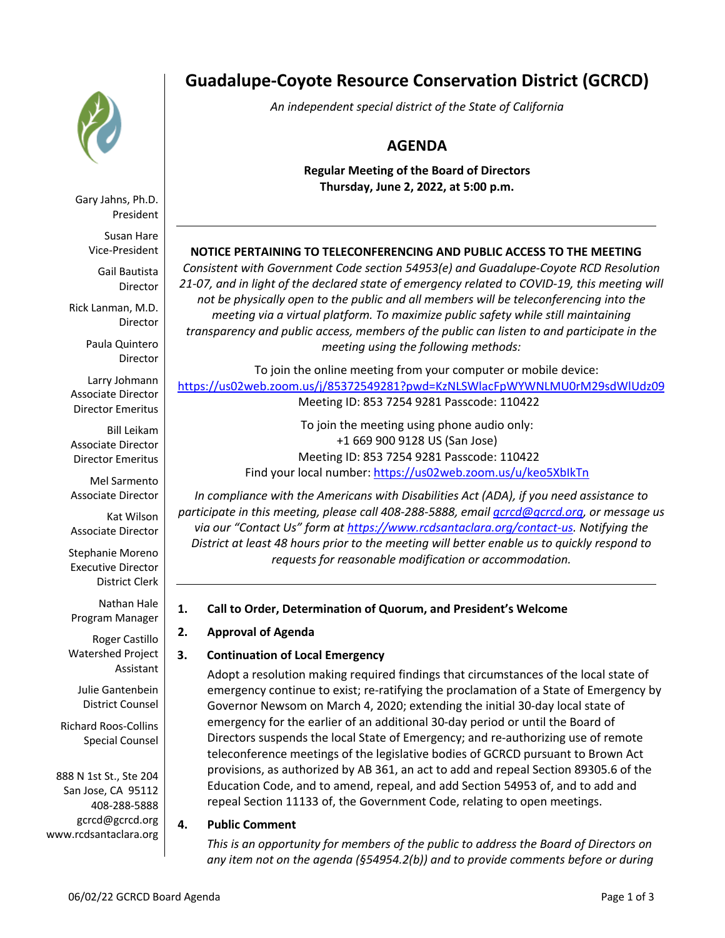

Gary Jahns, Ph.D. President

Susan Hare Vice-President

Gail Bautista Director

Rick Lanman, M.D. Director

> Paula Quintero Director

Larry Johmann Associate Director Director Emeritus

Bill Leikam Associate Director Director Emeritus

Mel Sarmento Associate Director

Kat Wilson Associate Director

Stephanie Moreno Executive Director District Clerk

Nathan Hale Program Manager

Roger Castillo Watershed Project Assistant

Julie Gantenbein District Counsel

Richard Roos-Collins Special Counsel

888 N 1st St., Ste 204 San Jose, CA 95112 408-288-5888 gcrcd@gcrcd.org www.rcdsantaclara.org

# **Guadalupe-Coyote Resource Conservation District (GCRCD)**

*An independent special district of the State of California*

# **AGENDA**

**Regular Meeting of the Board of Directors Thursday, June 2, 2022, at 5:00 p.m.**

### **NOTICE PERTAINING TO TELECONFERENCING AND PUBLIC ACCESS TO THE MEETING**

*Consistent with Government Code section 54953(e) and Guadalupe-Coyote RCD Resolution 21-07, and in light of the declared state of emergency related to COVID-19, this meeting will not be physically open to the public and all members will be teleconferencing into the meeting via a virtual platform. To maximize public safety while still maintaining transparency and public access, members of the public can listen to and participate in the meeting using the following methods:* 

To join the online meeting from your computer or mobile device: https://us02web.zoom.us/j/85372549281?pwd=KzNLSWlacFpWYWNLMU0rM29sdWlUdz09 Meeting ID: 853 7254 9281 Passcode: 110422

To join the meeting using phone audio only: +1 669 900 9128 US (San Jose) Meeting ID: 853 7254 9281 Passcode: 110422 Find your local number: https://us02web.zoom.us/u/keo5XbIkTn

*In compliance with the Americans with Disabilities Act (ADA), if you need assistance to participate in this meeting, please call 408-288-5888, email gcrcd@gcrcd.org, or message us via our "Contact Us" form at https://www.rcdsantaclara.org/contact-us. Notifying the District at least 48 hours prior to the meeting will better enable us to quickly respond to requests for reasonable modification or accommodation.*

#### **1. Call to Order, Determination of Quorum, and President's Welcome**

#### **2. Approval of Agenda**

## **3. Continuation of Local Emergency**

Adopt a resolution making required findings that circumstances of the local state of emergency continue to exist; re-ratifying the proclamation of a State of Emergency by Governor Newsom on March 4, 2020; extending the initial 30-day local state of emergency for the earlier of an additional 30-day period or until the Board of Directors suspends the local State of Emergency; and re-authorizing use of remote teleconference meetings of the legislative bodies of GCRCD pursuant to Brown Act provisions, as authorized by AB 361, an act to add and repeal Section 89305.6 of the Education Code, and to amend, repeal, and add Section 54953 of, and to add and repeal Section 11133 of, the Government Code, relating to open meetings.

#### **4. Public Comment**

*This is an opportunity for members of the public to address the Board of Directors on any item not on the agenda (§54954.2(b)) and to provide comments before or during*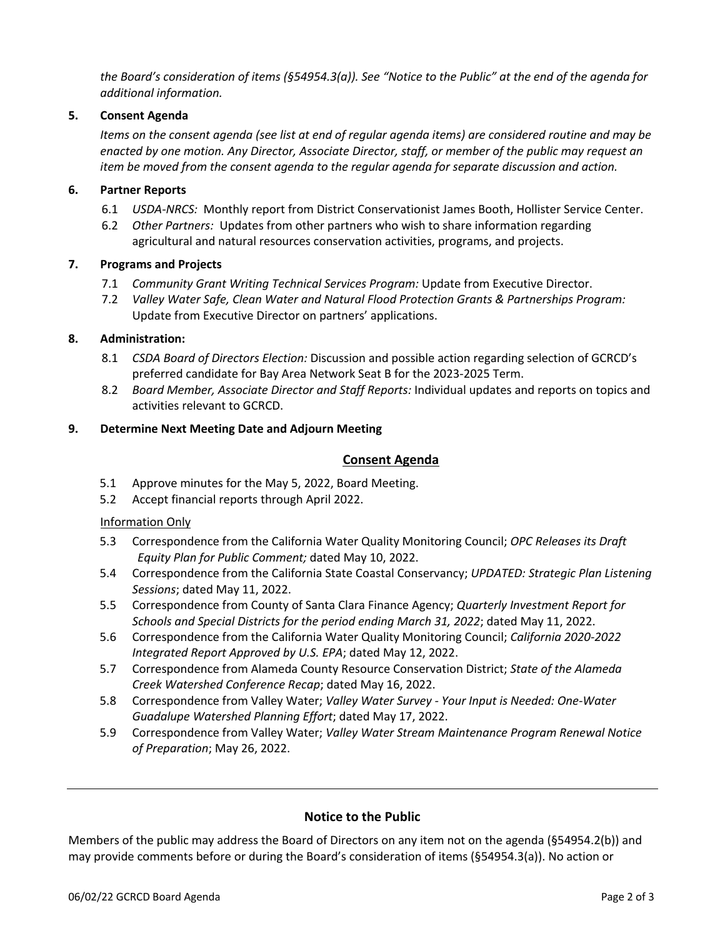*the Board's consideration of items (§54954.3(a)). See "Notice to the Public" at the end of the agenda for additional information.*

#### **5. Consent Agenda**

*Items on the consent agenda (see list at end of regular agenda items) are considered routine and may be enacted by one motion. Any Director, Associate Director, staff, or member of the public may request an item be moved from the consent agenda to the regular agenda for separate discussion and action.*

#### **6. Partner Reports**

- 6.1 *USDA-NRCS:* Monthly report from District Conservationist James Booth, Hollister Service Center.
- 6.2 *Other Partners:* Updates from other partners who wish to share information regarding agricultural and natural resources conservation activities, programs, and projects.

#### **7. Programs and Projects**

- 7.1 *Community Grant Writing Technical Services Program:* Update from Executive Director.
- 7.2 *Valley Water Safe, Clean Water and Natural Flood Protection Grants & Partnerships Program:*  Update from Executive Director on partners' applications.

#### **8. Administration:**

- 8.1 *CSDA Board of Directors Election:* Discussion and possible action regarding selection of GCRCD's preferred candidate for Bay Area Network Seat B for the 2023-2025 Term.
- 8.2 *Board Member, Associate Director and Staff Reports:* Individual updates and reports on topics and activities relevant to GCRCD.

#### **9. Determine Next Meeting Date and Adjourn Meeting**

#### **Consent Agenda**

- 5.1 Approve minutes for the May 5, 2022, Board Meeting.
- 5.2 Accept financial reports through April 2022.

#### Information Only

- 5.3 Correspondence from the California Water Quality Monitoring Council; *OPC Releases its Draft Equity Plan for Public Comment;* dated May 10, 2022.
- 5.4 Correspondence from the California State Coastal Conservancy; *UPDATED: Strategic Plan Listening Sessions*; dated May 11, 2022.
- 5.5 Correspondence from County of Santa Clara Finance Agency; *Quarterly Investment Report for Schools and Special Districts for the period ending March 31, 2022*; dated May 11, 2022.
- 5.6 Correspondence from the California Water Quality Monitoring Council; *California 2020-2022 Integrated Report Approved by U.S. EPA*; dated May 12, 2022.
- 5.7 Correspondence from Alameda County Resource Conservation District; *State of the Alameda Creek Watershed Conference Recap*; dated May 16, 2022.
- 5.8 Correspondence from Valley Water; *Valley Water Survey - Your Input is Needed: One-Water Guadalupe Watershed Planning Effort*; dated May 17, 2022.
- 5.9 Correspondence from Valley Water; *Valley Water Stream Maintenance Program Renewal Notice of Preparation*; May 26, 2022.

#### **Notice to the Public**

Members of the public may address the Board of Directors on any item not on the agenda (§54954.2(b)) and may provide comments before or during the Board's consideration of items (§54954.3(a)). No action or